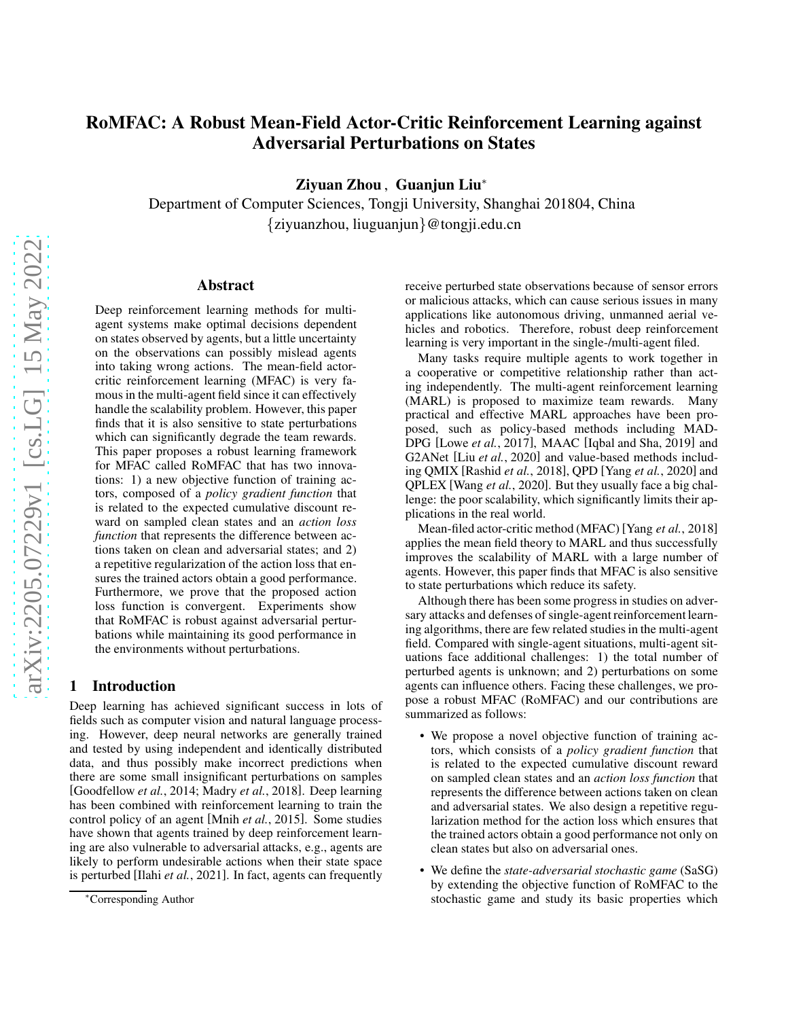# RoMFAC: A Robust Mean-Field Actor-Critic Reinforcement Learning against Adversarial Perturbations on States

Ziyuan Zhou , Guanjun Liu<sup>∗</sup>

Department of Computer Sciences, Tongji University, Shanghai 201804, China {ziyuanzhou, liuguanjun}@tongji.edu.cn

# Abstract

Deep reinforcement learning methods for multiagent systems make optimal decisions dependent on states observed by agents, but a little uncertainty on the observations can possibly mislead agents into taking wrong actions. The mean-field actorcritic reinforcement learning (MFAC) is very famous in the multi-agent field since it can effectively handle the scalability problem. However, this paper finds that it is also sensitive to state perturbations which can significantly degrade the team rewards. This paper proposes a robust learning framework for MFAC called RoMFAC that has two innovations: 1) a new objective function of training actors, composed of a *policy gradient function* that is related to the expected cumulative discount reward on sampled clean states and an *action loss function* that represents the difference between actions taken on clean and adversarial states; and 2) a repetitive regularization of the action loss that ensures the trained actors obtain a good performance. Furthermore, we prove that the proposed action loss function is convergent. Experiments show that RoMFAC is robust against adversarial perturbations while maintaining its good performance in the environments without perturbations.

# 1 Introduction

Deep learning has achieved significant success in lots of fields such as computer vision and natural language processing. However, deep neural networks are generally trained and tested by using independent and identically distributed data, and thus possibly make incorrect predictions when there are some small insignificant perturbations on samples [\[Goodfellow](#page-6-0) *et al.*, 2014; [Madry](#page-6-1) *et al.*, 2018]. Deep learning has been combined with reinforcement learning to train the control policy of an agent [Mnih *et al.*[, 2015\]](#page-6-2). Some studies have shown that agents trained by deep reinforcement learning are also vulnerable to adversarial attacks, e.g., agents are likely to perform undesirable actions when their state space is perturbed [Ilahi *et al.*[, 2021\]](#page-6-3). In fact, agents can frequently receive perturbed state observations because of sensor errors or malicious attacks, which can cause serious issues in many applications like autonomous driving, unmanned aerial vehicles and robotics. Therefore, robust deep reinforcement learning is very important in the single-/multi-agent filed.

Many tasks require multiple agents to work together in a cooperative or competitive relationship rather than acting independently. The multi-agent reinforcement learning (MARL) is proposed to maximize team rewards. Many practical and effective MARL approaches have been proposed, such as policy-based methods including MAD-DPG [Lowe *et al.*[, 2017\]](#page-6-4), MAAC [\[Iqbal and Sha, 2019\]](#page-6-5) and G2ANet [Liu *et al.*[, 2020\]](#page-6-6) and value-based methods including QMIX [\[Rashid](#page-6-7) *et al.*, 2018], QPD [Yang *et al.*[, 2020\]](#page-6-8) and QPLEX [Wang *et al.*[, 2020\]](#page-6-9). But they usually face a big challenge: the poor scalability, which significantly limits their applications in the real world.

Mean-filed actor-critic method (MFAC) [Yang *et al.*[, 2018\]](#page-6-10) applies the mean field theory to MARL and thus successfully improves the scalability of MARL with a large number of agents. However, this paper finds that MFAC is also sensitive to state perturbations which reduce its safety.

Although there has been some progress in studies on adversary attacks and defenses of single-agent reinforcement learning algorithms, there are few related studies in the multi-agent field. Compared with single-agent situations, multi-agent situations face additional challenges: 1) the total number of perturbed agents is unknown; and 2) perturbations on some agents can influence others. Facing these challenges, we propose a robust MFAC (RoMFAC) and our contributions are summarized as follows:

- We propose a novel objective function of training actors, which consists of a *policy gradient function* that is related to the expected cumulative discount reward on sampled clean states and an *action loss function* that represents the difference between actions taken on clean and adversarial states. We also design a repetitive regularization method for the action loss which ensures that the trained actors obtain a good performance not only on clean states but also on adversarial ones.
- We define the *state-adversarial stochastic game* (SaSG) by extending the objective function of RoMFAC to the stochastic game and study its basic properties which

<sup>∗</sup>Corresponding Author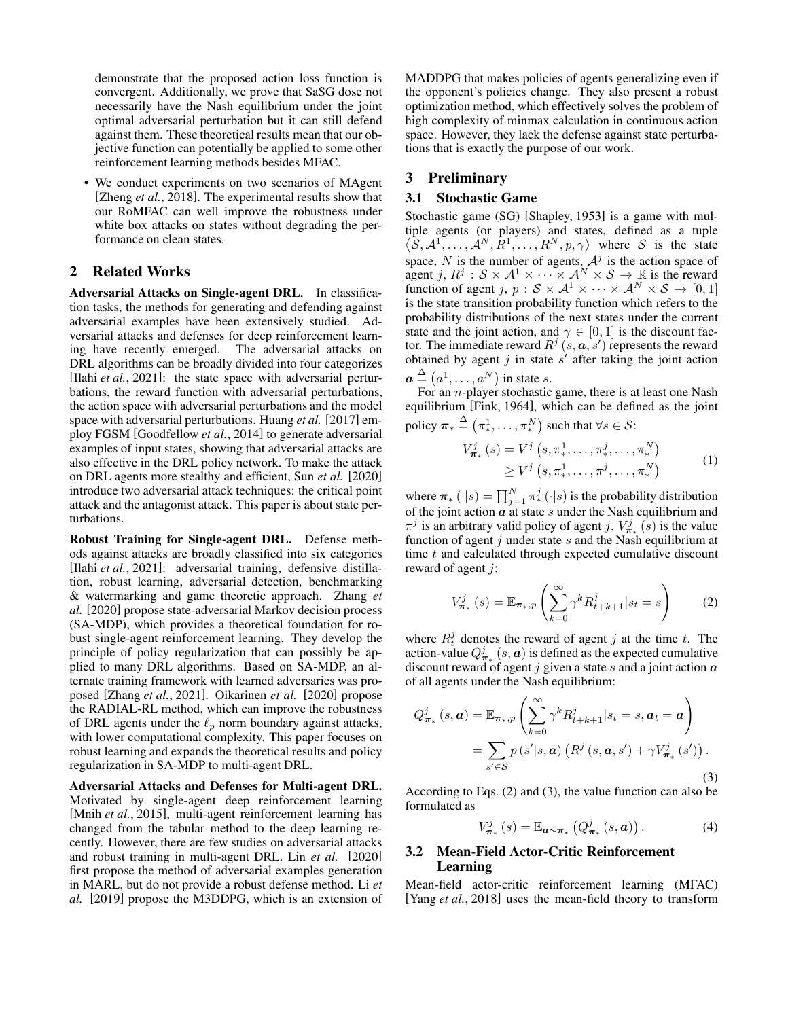demonstrate that the proposed action loss function is convergent. Additionally, we prove that SaSG dose not necessarily have the Nash equilibrium under the joint optimal adversarial perturbation but it can still defend against them. These theoretical results mean that our objective function can potentially be applied to some other reinforcement learning methods besides MFAC.

• We conduct experiments on two scenarios of MAgent [\[Zheng](#page-6-11) *et al.*, 2018]. The experimental results show that our RoMFAC can well improve the robustness under white box attacks on states without degrading the performance on clean states.

# 2 Related Works

Adversarial Attacks on Single-agent DRL. In classification tasks, the methods for generating and defending against adversarial examples have been extensively studied. Adversarial attacks and defenses for deep reinforcement learning have recently emerged. The adversarial attacks on DRL algorithms can be broadly divided into four categorizes [Ilahi *et al.*[, 2021\]](#page-6-3): the state space with adversarial perturbations, the reward function with adversarial perturbations, the action space with adversarial perturbations and the model space with adversarial perturbations. Huang *et al.* [\[2017\]](#page-6-12) employ FGSM [\[Goodfellow](#page-6-0) *et al.*, 2014] to generate adversarial examples of input states, showing that adversarial attacks are also effective in the DRL policy network. To make the attack on DRL agents more stealthy and efficient, Sun *et al.* [\[2020\]](#page-6-13) introduce two adversarial attack techniques: the critical point attack and the antagonist attack. This paper is about state perturbations.

Robust Training for Single-agent DRL. Defense methods against attacks are broadly classified into six categories [Ilahi et al.[, 2021\]](#page-6-3): adversarial training, defensive distillation, robust learning, adversarial detection, benchmarking & watermarking and game theoretic approach. Zhang *et al.* [\[2020\]](#page-6-14) propose state-adversarial Markov decision process (SA-MDP), which provides a theoretical foundation for robust single-agent reinforcement learning. They develop the principle of policy regularization that can possibly be applied to many DRL algorithms. Based on SA-MDP, an alternate training framework with learned adversaries was proposed [\[Zhang](#page-6-15) *et al.*, 2021]. Oikarinen *et al.* [\[2020\]](#page-6-16) propose the RADIAL-RL method, which can improve the robustness of DRL agents under the  $\ell_p$  norm boundary against attacks, with lower computational complexity. This paper focuses on robust learning and expands the theoretical results and policy regularization in SA-MDP to multi-agent DRL.

Adversarial Attacks and Defenses for Multi-agent DRL. Motivated by single-agent deep reinforcement learning [Mnih *et al.*[, 2015\]](#page-6-2), multi-agent reinforcement learning has changed from the tabular method to the deep learning recently. However, there are few studies on adversarial attacks and robust training in multi-agent DRL. Lin *et al.* [\[2020\]](#page-6-17) first propose the method of adversarial examples generation in MARL, but do not provide a robust defense method. Li *et al.* [\[2019\]](#page-6-18) propose the M3DDPG, which is an extension of MADDPG that makes policies of agents generalizing even if the opponent's policies change. They also present a robust optimization method, which effectively solves the problem of high complexity of minmax calculation in continuous action space. However, they lack the defense against state perturbations that is exactly the purpose of our work.

# 3 Preliminary

### 3.1 Stochastic Game

Stochastic game (SG) [\[Shapley, 1953\]](#page-6-19) is a game with multiple agents (or players) and states, defined as a tuple  $\langle S, A^1, \ldots, A^N, R^1, \ldots, R^N, p, \gamma \rangle$  where S is the state space, N is the number of agents,  $A<sup>j</sup>$  is the action space of agent j,  $R^j : S \times A^1 \times \cdots \times A^N \times S \to \mathbb{R}$  is the reward function of agent j,  $p : S \times A^1 \times \cdots \times A^N \times S \rightarrow [0, 1]$ is the state transition probability function which refers to the probability distributions of the next states under the current state and the joint action, and  $\gamma \in [0, 1]$  is the discount factor. The immediate reward  $R^j$   $(s, a, s')$  represents the reward obtained by agent j in state  $s'$  after taking the joint action  $a \stackrel{\Delta}{=} (a^1, \ldots, a^N)$  in state s.

For an n-player stochastic game, there is at least one Nash equilibrium [\[Fink, 1964\]](#page-6-20), which can be defined as the joint policy  $\boldsymbol{\pi}_{*} \stackrel{\Delta}{=} (\pi_{*}^{1}, \ldots, \pi_{*}^{N})$  such that  $\forall s \in \mathcal{S}$ :

$$
V_{\pi_*}^j(s) = V^j(s, \pi_*^1, \dots, \pi_*^j, \dots, \pi_*^N) \ge V^j(s, \pi_*^1, \dots, \pi^j, \dots, \pi_*^N)
$$
 (1)

where  $\pi_* \left( \cdot | s \right) = \prod_{j=1}^N \pi_*^j \left( \cdot | s \right)$  is the probability distribution of the joint action  $\alpha$  at state s under the Nash equilibrium and  $\pi^{j}$  is an arbitrary valid policy of agent j.  $V_{\pi_{*}}^{j}$  (s) is the value function of agent  $j$  under state  $s$  and the Nash equilibrium at time  $t$  and calculated through expected cumulative discount reward of agent j:

<span id="page-1-1"></span><span id="page-1-0"></span>
$$
V_{\pi_*}^j(s) = \mathbb{E}_{\pi_*,p} \left( \sum_{k=0}^{\infty} \gamma^k R_{t+k+1}^j | s_t = s \right)
$$
 (2)

where  $R_t^j$  denotes the reward of agent j at the time t. The action-value  $Q_{\pi_*}^j$   $(s, a)$  is defined as the expected cumulative discount reward of agent j given a state s and a joint action  $\boldsymbol{a}$ of all agents under the Nash equilibrium:

$$
Q_{\boldsymbol{\pi}_{*}}^{j}(s, a) = \mathbb{E}_{\boldsymbol{\pi}_{*}, p} \left( \sum_{k=0}^{\infty} \gamma^{k} R_{t+k+1}^{j} | s_{t} = s, a_{t} = a \right)
$$

$$
= \sum_{s' \in \mathcal{S}} p(s'|s, a) \left( R^{j}(s, a, s') + \gamma V_{\boldsymbol{\pi}_{*}}^{j}(s') \right).
$$
(3)

According to Eqs. [\(2\)](#page-1-0) and [\(3\)](#page-1-1), the value function can also be formulated as

$$
V_{\boldsymbol{\pi}_{*}}^{j}(s) = \mathbb{E}_{\boldsymbol{a}\sim\boldsymbol{\pi}_{*}}\left(Q_{\boldsymbol{\pi}_{*}}^{j}(s,\boldsymbol{a})\right).
$$
 (4)

# 3.2 Mean-Field Actor-Critic Reinforcement Learning

Mean-field actor-critic reinforcement learning (MFAC) [Yang *et al.*[, 2018\]](#page-6-10) uses the mean-field theory to transform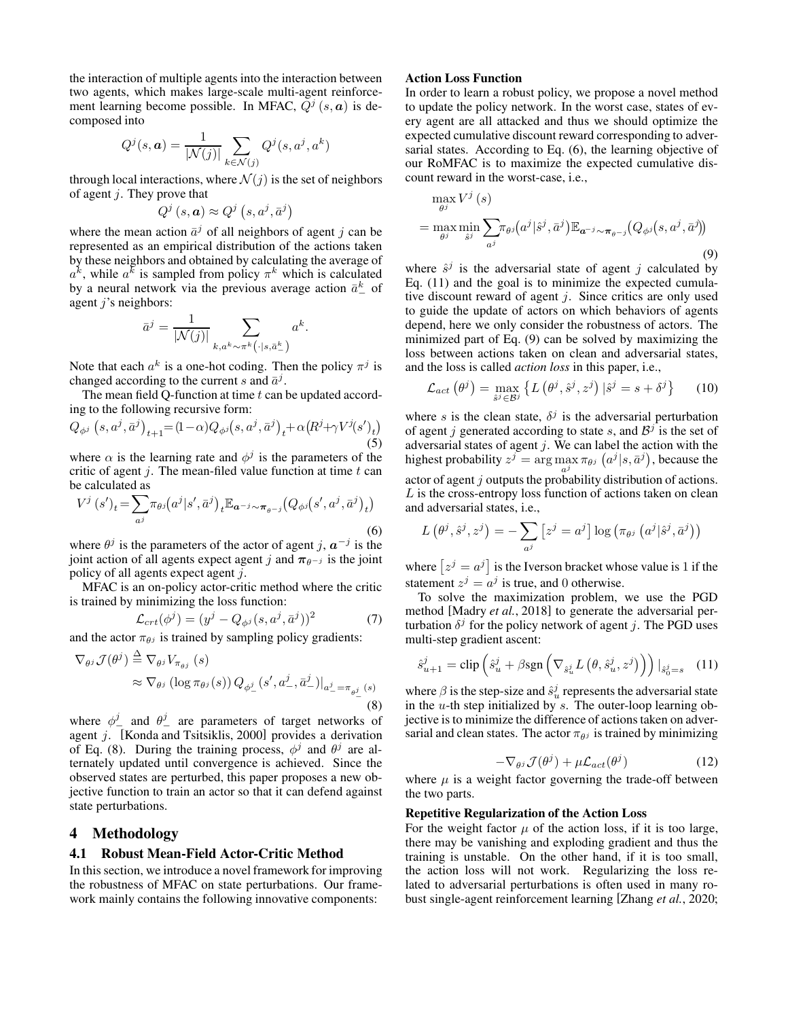the interaction of multiple agents into the interaction between two agents, which makes large-scale multi-agent reinforcement learning become possible. In MFAC,  $\tilde{Q}^j$  (s, a) is decomposed into

$$
Q^{j}(s, a) = \frac{1}{|\mathcal{N}(j)|} \sum_{k \in \mathcal{N}(j)} Q^{j}(s, a^{j}, a^{k})
$$

through local interactions, where  $\mathcal{N}(i)$  is the set of neighbors of agent  $j$ . They prove that

$$
Q^j\left(s,a\right) \approx Q^j\left(s,a^j,\bar{a}^j\right)
$$

where the mean action  $\bar{a}^j$  of all neighbors of agent j can be represented as an empirical distribution of the actions taken by these neighbors and obtained by calculating the average of  $a^k$ , while  $a^k$  is sampled from policy  $\pi^k$  which is calculated by a neural network via the previous average action  $\bar{a}^k$  of agent  $j$ 's neighbors:

$$
\bar{a}^j = \frac{1}{|\mathcal{N}(j)|} \sum_{k, a^k \sim \pi^k(\cdot | s, \bar{a}^k_-)} a^k
$$

.

Note that each  $a^k$  is a one-hot coding. Then the policy  $\pi^j$  is changed according to the current s and  $\bar{a}^j$ .

The mean field Q-function at time  $t$  can be updated according to the following recursive form:

$$
Q_{\phi^{j}}(s, a^{j}, \bar{a}^{j})_{t+1} = (1 - \alpha)Q_{\phi^{j}}(s, a^{j}, \bar{a}^{j})_{t} + \alpha (R^{j} + \gamma V^{j}(s')_{t})
$$
\n(5)

where  $\alpha$  is the learning rate and  $\phi^j$  is the parameters of the critic of agent  $j$ . The mean-filed value function at time  $t$  can be calculated as

<span id="page-2-1"></span>
$$
V^{j}(s')_{t} = \sum_{a^{j}} \pi_{\theta^{j}}(a^{j}|s', \bar{a}^{j})_{t} \mathbb{E}_{a^{-j} \sim \pi_{\theta^{-j}}}(Q_{\phi^{j}}(s', a^{j}, \bar{a}^{j})_{t})
$$
\n(6)

where  $\theta^j$  is the parameters of the actor of agent j,  $a^{-j}$  is the joint action of all agents expect agent j and  $\pi_{\theta^{-j}}$  is the joint policy of all agents expect agent j.

MFAC is an on-policy actor-critic method where the critic is trained by minimizing the loss function:

$$
\mathcal{L}_{crt}(\phi^j) = (y^j - Q_{\phi^j}(s, a^j, \bar{a}^j))^2
$$
 (7)

and the actor  $\pi_{\theta}$  is trained by sampling policy gradients:

$$
\nabla_{\theta^{j}} \mathcal{J}(\theta^{j}) \stackrel{\Delta}{=} \nabla_{\theta^{j}} V_{\pi_{\theta^{j}}}(s)
$$
  
\n
$$
\approx \nabla_{\theta^{j}} (\log \pi_{\theta^{j}}(s)) Q_{\phi^{j}_{-}}(s', a_{-}^{j}, \bar{a}_{-}^{j})|_{a_{-}^{j} = \pi_{\theta^{j}_{-}}(s)}
$$
\n(8)

where  $\phi^j$  and  $\theta^j$  are parameters of target networks of agent j. [\[Konda and Tsitsiklis, 2000\]](#page-6-21) provides a derivation of Eq. [\(8\)](#page-2-0). During the training process,  $\phi^j$  and  $\theta^j$  are alternately updated until convergence is achieved. Since the observed states are perturbed, this paper proposes a new objective function to train an actor so that it can defend against state perturbations.

# <span id="page-2-6"></span>4 Methodology

### 4.1 Robust Mean-Field Actor-Critic Method

In this section, we introduce a novel framework for improving the robustness of MFAC on state perturbations. Our framework mainly contains the following innovative components:

# Action Loss Function

In order to learn a robust policy, we propose a novel method to update the policy network. In the worst case, states of every agent are all attacked and thus we should optimize the expected cumulative discount reward corresponding to adversarial states. According to Eq. [\(6\)](#page-2-1), the learning objective of our RoMFAC is to maximize the expected cumulative discount reward in the worst-case, i.e.,

<span id="page-2-3"></span>
$$
\max_{\theta^j} V^j(s)
$$
\n
$$
= \max_{\theta^j} \min_{\hat{s}^j} \sum_{a^j} \pi_{\theta^j}(a^j | \hat{s}^j, \bar{a}^j) \mathbb{E}_{a^{-j} \sim \pi_{\theta^{-j}}}(Q_{\phi^j}(s, a^j, \bar{a}^j))
$$
\n(9)

where  $\hat{s}^j$  is the adversarial state of agent j calculated by Eq. [\(11\)](#page-2-2) and the goal is to minimize the expected cumulative discount reward of agent  $j$ . Since critics are only used to guide the update of actors on which behaviors of agents depend, here we only consider the robustness of actors. The minimized part of Eq. [\(9\)](#page-2-3) can be solved by maximizing the loss between actions taken on clean and adversarial states, and the loss is called *action loss* in this paper, i.e.,

<span id="page-2-7"></span>
$$
\mathcal{L}_{act}(\theta^j) = \max_{\hat{s}^j \in \mathcal{B}^j} \left\{ L\left(\theta^j, \hat{s}^j, z^j\right) \left| \hat{s}^j = s + \delta^j \right. \right\} \tag{10}
$$

where s is the clean state,  $\delta^j$  is the adversarial perturbation of agent j generated according to state s, and  $B<sup>j</sup>$  is the set of adversarial states of agent  $j$ . We can label the action with the highest probability  $z^{j} = \arg \max_{\theta} \pi_{\theta^{j}} (a^{j} | s, \bar{a}^{j}),$  because the  $\alpha_j$  actor of agent j outputs the probability distribution of actions.  $L$  is the cross-entropy loss function of actions taken on clean and adversarial states, i.e.,

$$
L(\theta^j, \hat{s}^j, z^j) = -\sum_{a^j} \left[ z^j = a^j \right] \log \left( \pi_{\theta^j} \left( a^j | \hat{s}^j, \bar{a}^j \right) \right)
$$

where  $[z^j = a^j]$  is the Iverson bracket whose value is 1 if the statement  $z^j = a^j$  is true, and 0 otherwise.

<span id="page-2-4"></span><span id="page-2-0"></span>To solve the maximization problem, we use the PGD method [\[Madry](#page-6-1) *et al.*, 2018] to generate the adversarial perturbation  $\delta^j$  for the policy network of agent j. The PGD uses multi-step gradient ascent:

<span id="page-2-2"></span>
$$
\hat{s}_{u+1}^j = \text{clip}\left(\hat{s}_u^j + \beta \text{sgn}\left(\nabla_{\hat{s}_u^j} L\left(\theta, \hat{s}_u^j, z^j\right)\right)\right)|_{\hat{s}_0^j = s} \quad (11)
$$

where  $\beta$  is the step-size and  $\hat{s}_u^j$  represents the adversarial state in the  $u$ -th step initialized by  $s$ . The outer-loop learning objective is to minimize the difference of actions taken on adversarial and clean states. The actor  $\pi_{\theta}$  is trained by minimizing

$$
-\nabla_{\theta^j} \mathcal{J}(\theta^j) + \mu \mathcal{L}_{act}(\theta^j)
$$
 (12)

<span id="page-2-5"></span>where  $\mu$  is a weight factor governing the trade-off between the two parts.

#### Repetitive Regularization of the Action Loss

For the weight factor  $\mu$  of the action loss, if it is too large, there may be vanishing and exploding gradient and thus the training is unstable. On the other hand, if it is too small, the action loss will not work. Regularizing the loss related to adversarial perturbations is often used in many robust single-agent reinforcement learning [\[Zhang](#page-6-14) *et al.*, 2020;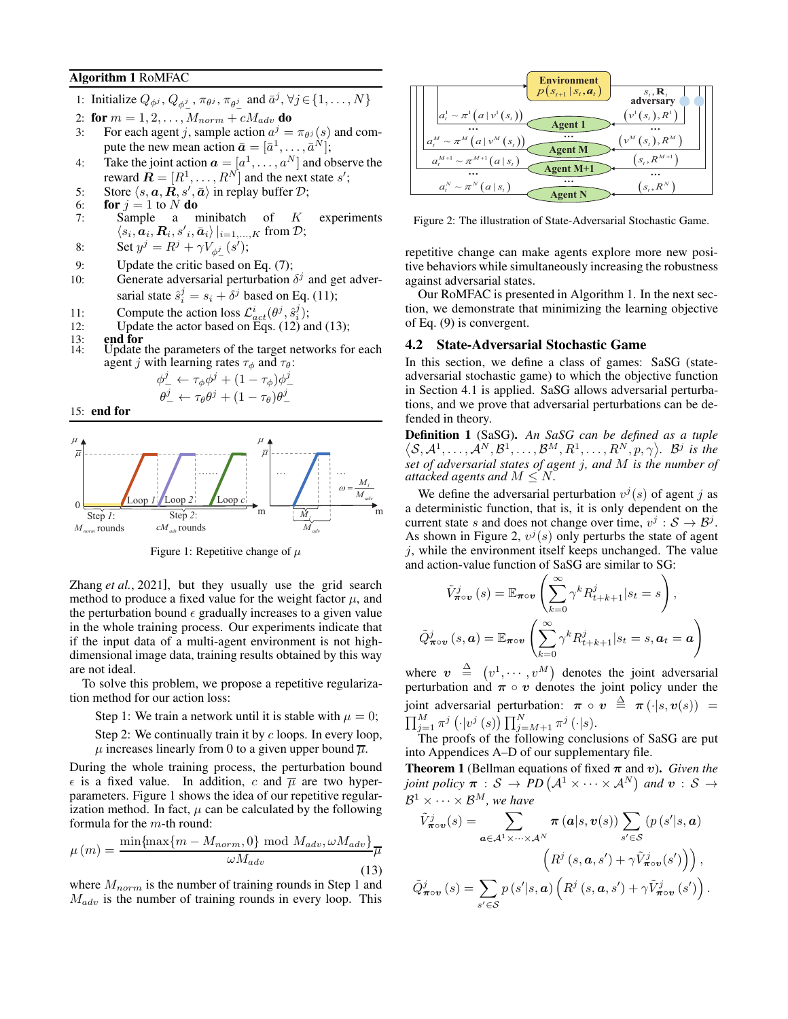# <span id="page-3-2"></span>Algorithm 1 RoMFAC

- 1: Initialize  $Q_{\phi^j}$ ,  $Q_{\phi^j}$ ,  $\pi_{\theta^j}$ ,  $\pi_{\theta^j}$  and  $\bar{a}^j$ ,  $\forall j \in \{1, ..., N\}$
- 2: for  $m = 1, 2, \ldots, M_{norm} + cM_{adv}$  do
- 3: For each agent j, sample action  $a^j = \pi_{\theta^j}(s)$  and compute the new mean action  $\bar{a} = [\bar{a}^1, \dots, \bar{a}^N];$
- 4: Take the joint action  $\boldsymbol{a} = [a^1, \dots, a^N]$  and observe the reward  $\mathbf{R} = [R^1, \dots, R^N]$  and the next state s';
- 5: Store  $\langle s, a, \vec{R}, s', \bar{a} \rangle$  in replay buffer  $\mathcal{D}$ ;
- 6: **for**  $j = 1$  to N **do**<br>7: **Sample** a n
- Sample a minibatch of  $K$  experiments  $\langle s_i, a_i, R_i, s'_{i}, a_i \rangle |_{i=1,...,K}$  from  $\mathcal{D}$ ;
- 8: Set  $y^j = R^j + \gamma V_{\phi^j_-}(s')$ ;
- 9: Update the critic based on Eq. [\(7\)](#page-2-4);
- 10: Generate adversarial perturbation  $\delta^j$  and get adversarial state  $\hat{s}_i^j = s_i + \delta^j$  based on Eq. [\(11\)](#page-2-2);
- 11: Compute the action loss  $\mathcal{L}_{act}^{i}(\theta^j, \hat{s}_i^j);$
- 12: Update the actor based on Eqs.  $(12)$  and  $(13)$ ;<br>13: **end for**<br>14: Update the parameters of the target networks fo
- 13: end for
- 14: Update the parameters of the target networks for each agent *j* with learning rates  $\tau_{\phi}$  and  $\tau_{\theta}$ :

$$
\phi_-^j \leftarrow \tau_\phi \phi^j + (1 - \tau_\phi) \phi_-^j
$$

$$
\theta_-^j \leftarrow \tau_\theta \theta^j + (1 - \tau_\theta) \theta_-^j
$$

15: end for

<span id="page-3-1"></span>

Figure 1: Repetitive change of  $\mu$ 

Zhang *et al.*[, 2021\]](#page-6-15), but they usually use the grid search method to produce a fixed value for the weight factor  $\mu$ , and the perturbation bound  $\epsilon$  gradually increases to a given value in the whole training process. Our experiments indicate that if the input data of a multi-agent environment is not highdimensional image data, training results obtained by this way are not ideal.

To solve this problem, we propose a repetitive regularization method for our action loss:

Step 1: We train a network until it is stable with  $\mu = 0$ ;

Step 2: We continually train it by  $c$  loops. In every loop,  $\mu$  increases linearly from 0 to a given upper bound  $\overline{\mu}$ .

During the whole training process, the perturbation bound  $\epsilon$  is a fixed value. In addition, c and  $\overline{\mu}$  are two hyperparameters. Figure [1](#page-3-1) shows the idea of our repetitive regularization method. In fact,  $\mu$  can be calculated by the following formula for the m-th round:

<span id="page-3-0"></span>
$$
\mu(m) = \frac{\min\{\max\{m - M_{norm}, 0\} \mod M_{adv}, \omega M_{adv}\}}{\omega M_{adv}}
$$
\n(13)

where  $M_{norm}$  is the number of training rounds in Step 1 and  $M_{adv}$  is the number of training rounds in every loop. This

<span id="page-3-3"></span>

Figure 2: The illustration of State-Adversarial Stochastic Game.

repetitive change can make agents explore more new positive behaviors while simultaneously increasing the robustness against adversarial states.

Our RoMFAC is presented in Algorithm [1.](#page-3-2) In the next section, we demonstrate that minimizing the learning objective of Eq. [\(9\)](#page-2-3) is convergent.

### 4.2 State-Adversarial Stochastic Game

In this section, we define a class of games: SaSG (stateadversarial stochastic game) to which the objective function in Section [4.1](#page-2-6) is applied. SaSG allows adversarial perturbations, and we prove that adversarial perturbations can be defended in theory.

Definition 1 (SaSG). *An SaSG can be defined as a tuple*  $\langle S, \mathcal{A}^1, \ldots, \mathcal{A}^N, \mathcal{B}^1, \ldots, \mathcal{B}^M, R^1, \ldots, R^N, p, \gamma \rangle$ .  $\mathcal{B}^j$  is the *set of adversarial states of agent* j*, and* M *is the number of attacked agents and*  $M \leq N$ .

We define the adversarial perturbation  $v^j(s)$  of agent j as a deterministic function, that is, it is only dependent on the current state s and does not change over time,  $v^j : \mathcal{S} \to \mathcal{B}^j$ . As shown in Figure [2,](#page-3-3)  $v^j(s)$  only perturbs the state of agent  $j$ , while the environment itself keeps unchanged. The value and action-value function of SaSG are similar to SG:

$$
\tilde{V}_{\boldsymbol{\pi}\circ\boldsymbol{v}}^j(s) = \mathbb{E}_{\boldsymbol{\pi}\circ\boldsymbol{v}}\left(\sum_{k=0}^{\infty} \gamma^k R_{t+k+1}^j | s_t = s\right),
$$

$$
\tilde{Q}_{\boldsymbol{\pi}\circ\boldsymbol{v}}^j(s,\boldsymbol{a}) = \mathbb{E}_{\boldsymbol{\pi}\circ\boldsymbol{v}}\left(\sum_{k=0}^{\infty} \gamma^k R_{t+k+1}^j | s_t = s, \boldsymbol{a}_t = \boldsymbol{a}\right)
$$

where  $\mathbf{v} \triangleq (v^1, \dots, v^M)$  denotes the joint adversarial perturbation and  $\pi \circ v$  denotes the joint policy under the joint adversarial perturbation:  $\pi \circ v \stackrel{\Delta}{=} \pi (\cdot | s, v(s)) =$  $\prod_{j=1}^M \pi^j\left(\cdot|v^j\left(s\right)\right) \prod_{j=M+1}^N \pi^j\left(\cdot|s\right).$ 

The proofs of the following conclusions of SaSG are put into Appendices A–D of our supplementary file.

<span id="page-3-4"></span>**Theorem 1** (Bellman equations of fixed  $\pi$  and v). *Given the joint policy*  $\pi : \mathcal{S} \to \overline{PD} \left( \mathcal{A}^1 \times \cdots \times \mathcal{A}^N \right)$  and  $v : \mathcal{S} \to \mathcal{S}$  $\mathcal{B}^1 \times \cdots \times \mathcal{B}^M$ , we have

$$
\tilde{V}_{\pi\circ v}^{j}(s) = \sum_{\mathbf{a}\in\mathcal{A}^{1}\times\cdots\times\mathcal{A}^{N}} \pi(\mathbf{a}|s,\mathbf{v}(s)) \sum_{s'\in\mathcal{S}} (p(s'|s,\mathbf{a}))
$$

$$
\left(R^{j}(s,\mathbf{a},s') + \gamma \tilde{V}_{\pi\circ v}^{j}(s')\right),
$$

$$
\tilde{Q}_{\pi\circ v}^{j}(s) = \sum_{s'\in\mathcal{S}} p(s'|s,\mathbf{a}) \left(R^{j}(s,\mathbf{a},s') + \gamma \tilde{V}_{\pi\circ v}^{j}(s')\right).
$$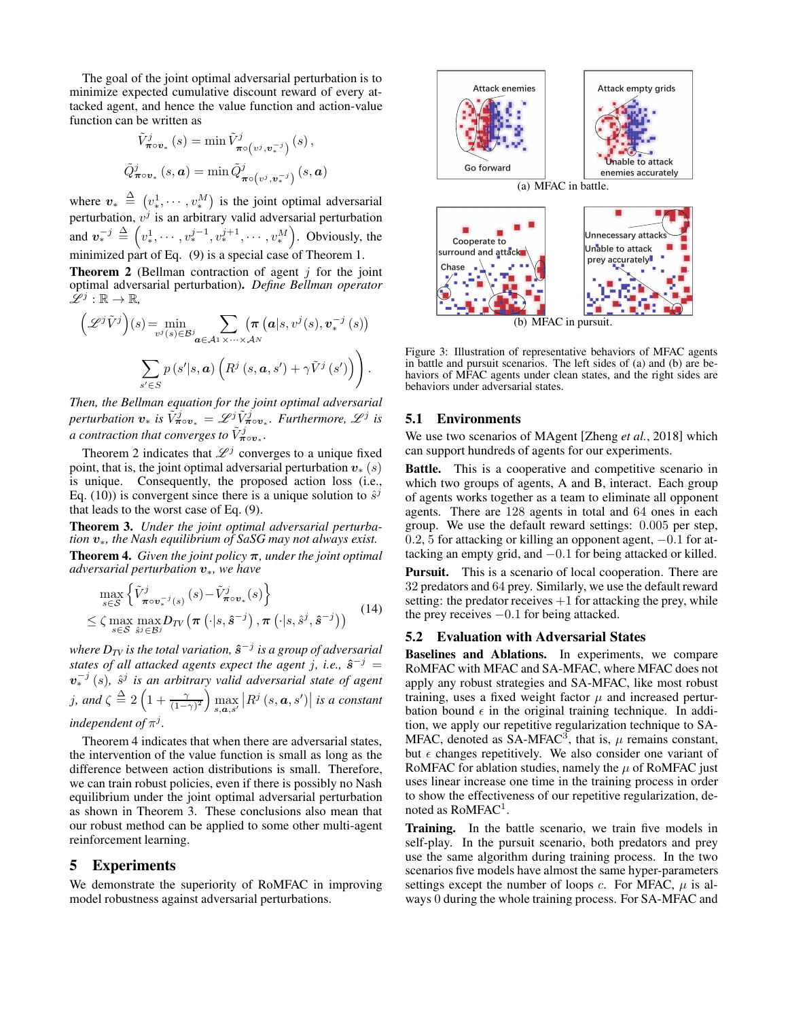The goal of the joint optimal adversarial perturbation is to minimize expected cumulative discount reward of every attacked agent, and hence the value function and action-value function can be written as

$$
\tilde{V}_{\boldsymbol{\pi}\circ\boldsymbol{v}_{*}}^{j}(s) = \min \tilde{V}_{\boldsymbol{\pi}\circ(v^{j},\boldsymbol{v}_{*}^{-j})}^{j}(s),
$$
  

$$
\tilde{Q}_{\boldsymbol{\pi}\circ\boldsymbol{v}_{*}}^{j}(s,\boldsymbol{a}) = \min \tilde{Q}_{\boldsymbol{\pi}\circ(v^{j},\boldsymbol{v}_{*}^{-j})}^{j}(s,\boldsymbol{a})
$$

where  $v_* \triangleq (v_*^1, \dots, v_*^M)$  is the joint optimal adversarial perturbation,  $v^j$  is an arbitrary valid adversarial perturbation and  $v_*^{-j} \triangleq \left( v_*^1, \cdots, v_*^{j-1}, v_*^{j+1}, \cdots, v_*^M \right)$ . Obviously, the minimized part of Eq. [\(9\)](#page-2-3) is a special case of Theorem [1.](#page-3-4)

<span id="page-4-0"></span>**Theorem 2** (Bellman contraction of agent  $i$  for the joint optimal adversarial perturbation). *Define Bellman operator*  $\mathscr{L}^j : \mathbb{R} \to \mathbb{R}$ ,

$$
\left(\mathscr{L}^{j}\tilde{V}^{j}\right)(s) = \min_{v^{j}(s)\in\mathcal{B}^{j}} \sum_{\mathbf{a}\in\mathcal{A}^{1}\times\cdots\times\mathcal{A}^{N}} \left(\pi\left(\mathbf{a}|s,v^{j}(s),\mathbf{v}_{*}^{-j}(s)\right)\right)
$$

$$
\sum_{s'\in S} p\left(s'|s,\mathbf{a}\right)\left(R^{j}\left(s,\mathbf{a},s'\right)+\gamma\tilde{V}^{j}\left(s'\right)\right)\right).
$$

*Then, the Bellman equation for the joint optimal adversarial*  $p$ erturbation  $v_*$  is  $\tilde{V}^j_{\boldsymbol{\pi}\circ v_*} = \mathscr{L}^j \tilde{V}^j_{\boldsymbol{\pi}\circ v_*}$ . Furthermore,  $\mathscr{L}^j$  is a contraction that converges to  $\tilde{V}_{\boldsymbol{\pi}\circ\boldsymbol{v}_*}^j$ .

Theorem [2](#page-4-0) indicates that  $\mathscr{L}^j$  converges to a unique fixed point, that is, the joint optimal adversarial perturbation  $v_*(s)$ is unique. Consequently, the proposed action loss (i.e., Eq. [\(10\)](#page-2-7)) is convergent since there is a unique solution to  $\hat{s}^j$ that leads to the worst case of Eq. [\(9\)](#page-2-3).

<span id="page-4-2"></span>Theorem 3. *Under the joint optimal adversarial perturbation* v∗*, the Nash equilibrium of SaSG may not always exist.* Theorem 4. *Given the joint policy* π*, under the joint optimal adversarial perturbation* v∗*, we have*

<span id="page-4-1"></span>
$$
\max_{s \in \mathcal{S}} \left\{ \tilde{V}_{\boldsymbol{\pi} \circ \boldsymbol{v}_*^{-j}(s)}^{j} \left( s \right) - \tilde{V}_{\boldsymbol{\pi} \circ \boldsymbol{v}_*}^{j}(s) \right\} \leq \zeta \max_{s \in \mathcal{S}} \max_{s^{j} \in \mathcal{B}^{j}} D_{TV} \left( \boldsymbol{\pi} \left( \cdot | s, \hat{\boldsymbol{s}}^{-j} \right), \boldsymbol{\pi} \left( \cdot | s, \hat{s}^{j}, \hat{\boldsymbol{s}}^{-j} \right) \right)
$$
(14)

where  $D_{TV}$  is the total variation,  $\hat{s}^{-j}$  is a group of adversarial *states of all attacked agents expect the agent j, i.e.,*  $\hat{s}^{-j}$  =  $v_*^{-j}(s)$ ,  $\hat{s}^j$  is an arbitrary valid adversarial state of agent  $j$ *, and*  $\zeta \triangleq 2\left(1+\frac{\gamma}{(1-\gamma)^2}\right)\max_{s,\bm{a},s'}\left|R^j\left(s,\bm{a},s'\right)\right|$  is a constant independent of  $\pi^j$ .

Theorem [4](#page-4-1) indicates that when there are adversarial states, the intervention of the value function is small as long as the difference between action distributions is small. Therefore, we can train robust policies, even if there is possibly no Nash equilibrium under the joint optimal adversarial perturbation as shown in Theorem [3.](#page-4-2) These conclusions also mean that our robust method can be applied to some other multi-agent reinforcement learning.

# 5 Experiments

We demonstrate the superiority of RoMFAC in improving model robustness against adversarial perturbations.

<span id="page-4-3"></span>

Figure 3: Illustration of representative behaviors of MFAC agents in battle and pursuit scenarios. The left sides of (a) and (b) are behaviors of MFAC agents under clean states, and the right sides are behaviors under adversarial states.

### 5.1 Environments

We use two scenarios of MAgent [\[Zheng](#page-6-11) *et al.*, 2018] which can support hundreds of agents for our experiments.

Battle. This is a cooperative and competitive scenario in which two groups of agents, A and B, interact. Each group of agents works together as a team to eliminate all opponent agents. There are 128 agents in total and 64 ones in each group. We use the default reward settings: 0.005 per step, 0.2, 5 for attacking or killing an opponent agent,  $-0.1$  for attacking an empty grid, and −0.1 for being attacked or killed.

Pursuit. This is a scenario of local cooperation. There are 32 predators and 64 prey. Similarly, we use the default reward setting: the predator receives  $+1$  for attacking the prey, while the prey receives −0.1 for being attacked.

### 5.2 Evaluation with Adversarial States

Baselines and Ablations. In experiments, we compare RoMFAC with MFAC and SA-MFAC, where MFAC does not apply any robust strategies and SA-MFAC, like most robust training, uses a fixed weight factor  $\mu$  and increased perturbation bound  $\epsilon$  in the original training technique. In addition, we apply our repetitive regularization technique to SA-MFAC, denoted as SA-MFAC<sup>3</sup>, that is,  $\mu$  remains constant, but  $\epsilon$  changes repetitively. We also consider one variant of RoMFAC for ablation studies, namely the  $\mu$  of RoMFAC just uses linear increase one time in the training process in order to show the effectiveness of our repetitive regularization, denoted as  $RoMFAC<sup>1</sup>$ .

Training. In the battle scenario, we train five models in self-play. In the pursuit scenario, both predators and prey use the same algorithm during training process. In the two scenarios five models have almost the same hyper-parameters settings except the number of loops c. For MFAC,  $\mu$  is always 0 during the whole training process. For SA-MFAC and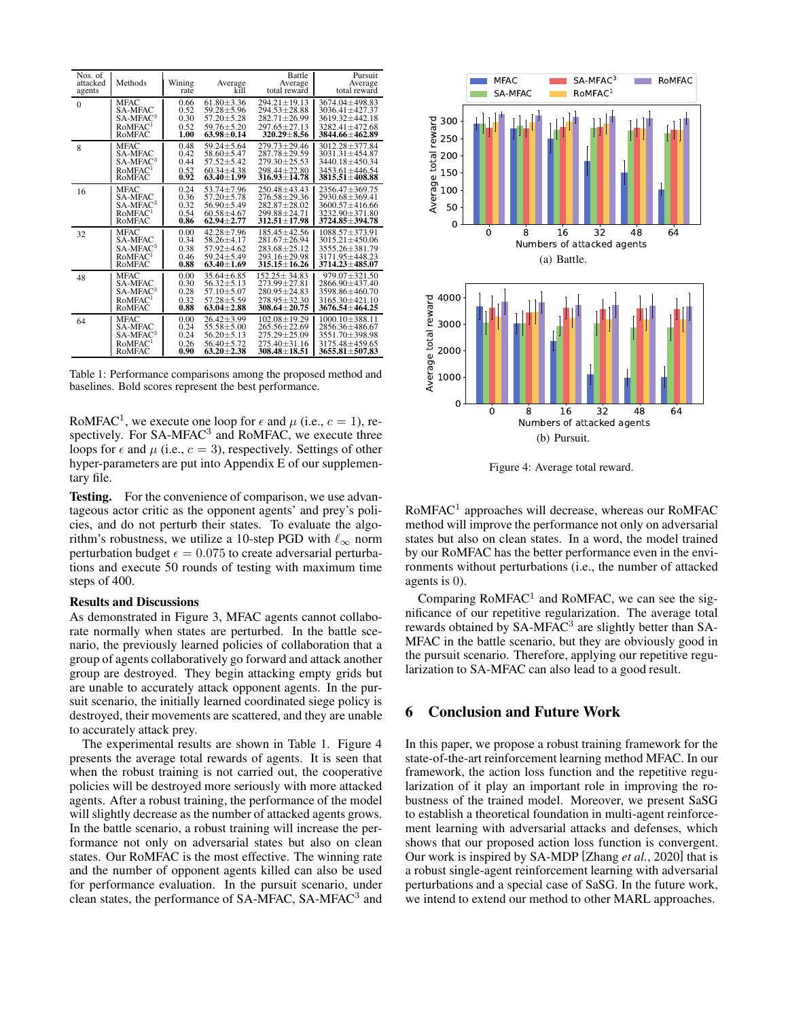<span id="page-5-0"></span>

| Nos. of<br>attacked<br>agents | Methods              | Wining<br>rate | Average<br>kĭll  | Battle<br>Average<br>total reward | Pursuit<br>Average<br>total reward |
|-------------------------------|----------------------|----------------|------------------|-----------------------------------|------------------------------------|
| $\mathbf{0}$                  | <b>MFAC</b>          | 0.66           | $61.80 + 3.36$   | $294.21 + 19.13$                  | $3674.04 + 498.83$                 |
|                               | <b>SA-MFAC</b>       | 0.52           | $59.28 \pm 5.96$ | 294.53±28.88                      | 3036.41±427.37                     |
|                               | SA-MFAC <sup>3</sup> | 0.30           | $57.20 + 5.28$   | 282.71±26.99                      | 3619.32+442.18                     |
|                               | RoMFAC <sup>1</sup>  | 0.52           | $59.76 + 5.20$   | $297.65 + 27.13$                  | $3282.41 + 472.68$                 |
|                               | RoMFAC               | 1.00           | $63.98 \pm 0.14$ | 320.29±8.56                       | 3844.66±462.89                     |
| 8                             | <b>MFAC</b>          | 0.48           | $59.24 + 5.64$   | $279.73 + 29.46$                  | $3012.28 + 377.84$                 |
|                               | <b>SA-MFAC</b>       | 0.42           | $58.60 \pm 5.47$ | 287.78±29.59                      | 3031.31±454.87                     |
|                               | SA-MFAC <sup>3</sup> | 0.44           | $57.52 + 5.42$   | $279.30 + 25.53$                  | 3440.18±450.34                     |
|                               | RoMFAC <sup>1</sup>  | 0.52           | $60.34 + 4.38$   | $298.44 + 22.80$                  | $3453.61 + 446.54$                 |
|                               | RoMFAC               | 0.92           | $63.40 + 1.99$   | $316.93 \pm 14.78$                | 3815.51±408.88                     |
| 16                            | <b>MFAC</b>          | 0.24           | $53.74 + 7.96$   | $250.48 + 43.43$                  | $2356.47 + 369.75$                 |
|                               | <b>SA-MFAC</b>       | 0.36           | $57.20 \pm 5.78$ | 276.58±29.36                      | 2930.68±369.41                     |
|                               | SA-MFAC <sup>3</sup> | 0.32           | $56.90 + 5.49$   | $282.87 + 28.02$                  | $3600.57 + 416.66$                 |
|                               | RoMFAC <sup>1</sup>  | 0.54           | $60.58 \pm 4.67$ | 299.88±24.71                      | 3232.90±371.80                     |
|                               | RoMFAC               | 0.86           | $62.94 \pm 2.77$ | 312.51±17.98                      | 3724.85±394.78                     |
| 32                            | MFAC                 | 0.00           | $42.28 \pm 7.96$ | 185.45±42.56                      | 1088.57±373.91                     |
|                               | <b>SA-MFAC</b>       | 0.34           | $58.26 \pm 4.17$ | 281.67±26.94                      | $3015.21 \pm 450.06$               |
|                               | $SA-MFAC3$           | 0.38           | 57.92±4.62       | 283.68±25.12                      | 3555.26±381.79                     |
|                               | RoMFAC <sup>1</sup>  | 0.46           | $59.24 + 5.49$   | $293.16 + 29.98$                  | 3171.95+448.23                     |
|                               | RoMFAC               | 0.88           | $63.40 \pm 1.69$ | 315.15±16.26                      | 3714.23±485.07                     |
| 48                            | <b>MFAC</b>          | 0.00           | $35.64 \pm 6.85$ | $152.25 \pm 34.83$                | $979.07 \pm 321.50$                |
|                               | <b>SA-MFAC</b>       | 0.30           | $56.32 \pm 5.13$ | 273.99±27.81                      | 2866.90±437.40                     |
|                               | $SA-MFAC3$           | 0.28           | $57.10 + 5.07$   | $280.95 + 24.83$                  | 3598.86+460.70                     |
|                               | RoMFAC <sup>1</sup>  | 0.32           | $57.28 + 5.59$   | $278.95 + 32.30$                  | $3165.30 + 421.10$                 |
|                               | RoMFAC               | 0.88           | $63.04 + 2.88$   | 308.64±20.75                      | $3676.54 + 464.25$                 |
| 64                            | <b>MFAC</b>          | 0.00           | $26.42 + 3.99$   | $102.08 + 19.29$                  | $1000.10 + 388.11$                 |
|                               | <b>SA-MFAC</b>       | 0.24           | $55.58 \pm 5.00$ | 265.56±22.69                      | 2856.36±486.67                     |
|                               | SA-MFAC <sup>3</sup> | 0.24           | $56.20 + 5.13$   | $275.29 + 25.09$                  | $3551.70 + 398.98$                 |
|                               | RoMFAC <sup>1</sup>  | 0.26           | $56.40 \pm 5.72$ | $275.40 + 31.16$                  | 3175.48+459.65                     |
|                               | RoMFAC               | 0.90           | $63.20 \pm 2.38$ | $308.48 + 18.51$                  | $3655.81 \pm 507.83$               |

Table 1: Performance comparisons among the proposed method and baselines. Bold scores represent the best performance.

RoMFAC<sup>1</sup>, we execute one loop for  $\epsilon$  and  $\mu$  (i.e.,  $c = 1$ ), respectively. For SA-MFAC<sup>3</sup> and RoMFAC, we execute three loops for  $\epsilon$  and  $\mu$  (i.e.,  $c = 3$ ), respectively. Settings of other hyper-parameters are put into Appendix E of our supplementary file.

Testing. For the convenience of comparison, we use advantageous actor critic as the opponent agents' and prey's policies, and do not perturb their states. To evaluate the algorithm's robustness, we utilize a 10-step PGD with  $\ell_{\infty}$  norm perturbation budget  $\epsilon = 0.075$  to create adversarial perturbations and execute 50 rounds of testing with maximum time steps of 400.

### Results and Discussions

As demonstrated in Figure [3,](#page-4-3) MFAC agents cannot collaborate normally when states are perturbed. In the battle scenario, the previously learned policies of collaboration that a group of agents collaboratively go forward and attack another group are destroyed. They begin attacking empty grids but are unable to accurately attack opponent agents. In the pursuit scenario, the initially learned coordinated siege policy is destroyed, their movements are scattered, and they are unable to accurately attack prey.

The experimental results are shown in Table [1.](#page-5-0) Figure [4](#page-5-1) presents the average total rewards of agents. It is seen that when the robust training is not carried out, the cooperative policies will be destroyed more seriously with more attacked agents. After a robust training, the performance of the model will slightly decrease as the number of attacked agents grows. In the battle scenario, a robust training will increase the performance not only on adversarial states but also on clean states. Our RoMFAC is the most effective. The winning rate and the number of opponent agents killed can also be used for performance evaluation. In the pursuit scenario, under clean states, the performance of SA-MFAC, SA-MFAC<sup>3</sup> and

<span id="page-5-1"></span>

Figure 4: Average total reward.

 $RoMFAC<sup>1</sup>$  approaches will decrease, whereas our  $RoMFAC$ method will improve the performance not only on adversarial states but also on clean states. In a word, the model trained by our RoMFAC has the better performance even in the environments without perturbations (i.e., the number of attacked agents is 0).

Comparing  $RoMFAC<sup>1</sup>$  and  $RoMFAC$ , we can see the significance of our repetitive regularization. The average total rewards obtained by SA-MFAC<sup>3</sup> are slightly better than SA-MFAC in the battle scenario, but they are obviously good in the pursuit scenario. Therefore, applying our repetitive regularization to SA-MFAC can also lead to a good result.

# 6 Conclusion and Future Work

In this paper, we propose a robust training framework for the state-of-the-art reinforcement learning method MFAC. In our framework, the action loss function and the repetitive regularization of it play an important role in improving the robustness of the trained model. Moreover, we present SaSG to establish a theoretical foundation in multi-agent reinforcement learning with adversarial attacks and defenses, which shows that our proposed action loss function is convergent. Our work is inspired by SA-MDP [\[Zhang](#page-6-14) *et al.*, 2020] that is a robust single-agent reinforcement learning with adversarial perturbations and a special case of SaSG. In the future work, we intend to extend our method to other MARL approaches.